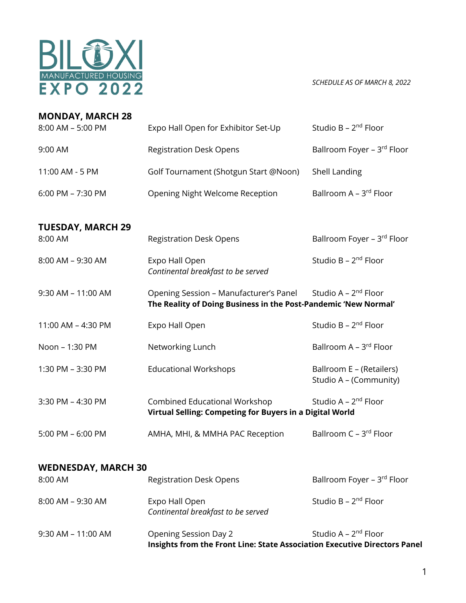

*SCHEDULE AS OF MARCH 8, 2022*

| <b>MONDAY, MARCH 28</b>    |                                                                                                           |                                                    |
|----------------------------|-----------------------------------------------------------------------------------------------------------|----------------------------------------------------|
| 8:00 AM - 5:00 PM          | Expo Hall Open for Exhibitor Set-Up                                                                       | Studio B - 2 <sup>nd</sup> Floor                   |
| 9:00 AM                    | <b>Registration Desk Opens</b>                                                                            | Ballroom Foyer - 3rd Floor                         |
| 11:00 AM - 5 PM            | Golf Tournament (Shotgun Start @Noon)                                                                     | Shell Landing                                      |
| 6:00 PM - 7:30 PM          | Opening Night Welcome Reception                                                                           | Ballroom A - 3rd Floor                             |
| <b>TUESDAY, MARCH 29</b>   |                                                                                                           |                                                    |
| 8:00 AM                    | <b>Registration Desk Opens</b>                                                                            | Ballroom Foyer - 3rd Floor                         |
| 8:00 AM - 9:30 AM          | Expo Hall Open<br>Continental breakfast to be served                                                      | Studio B - 2 <sup>nd</sup> Floor                   |
| 9:30 AM - 11:00 AM         | Opening Session - Manufacturer's Panel<br>The Reality of Doing Business in the Post-Pandemic 'New Normal' | Studio A - 2 <sup>nd</sup> Floor                   |
| 11:00 AM - 4:30 PM         | Expo Hall Open                                                                                            | Studio B - 2 <sup>nd</sup> Floor                   |
| Noon - 1:30 PM             | Networking Lunch                                                                                          | Ballroom A - 3rd Floor                             |
| 1:30 PM - 3:30 PM          | <b>Educational Workshops</b>                                                                              | Ballroom E - (Retailers)<br>Studio A - (Community) |
| 3:30 PM - 4:30 PM          | <b>Combined Educational Workshop</b><br>Virtual Selling: Competing for Buyers in a Digital World          | Studio A - 2 <sup>nd</sup> Floor                   |
| 5:00 PM - 6:00 PM          | AMHA, MHI, & MMHA PAC Reception                                                                           | Ballroom C - 3rd Floor                             |
| <b>WEDNESDAY, MARCH 30</b> |                                                                                                           |                                                    |
| 8:00 AM                    | <b>Registration Desk Opens</b>                                                                            | Ballroom Foyer - 3rd Floor                         |

|                      | Insights from the Front Line: State Association Executive Directors Panel |                                  |
|----------------------|---------------------------------------------------------------------------|----------------------------------|
| $9:30$ AM – 11:00 AM | Opening Session Day 2                                                     | Studio A – 2 <sup>nd</sup> Floor |
| $8:00$ AM – 9:30 AM  | Expo Hall Open<br>Continental breakfast to be served                      | Studio B - 2 <sup>nd</sup> Floor |
| <u>.</u>             | negisti ationi Besik Opens                                                | <u> Pani vuli vyci y livul</u>   |